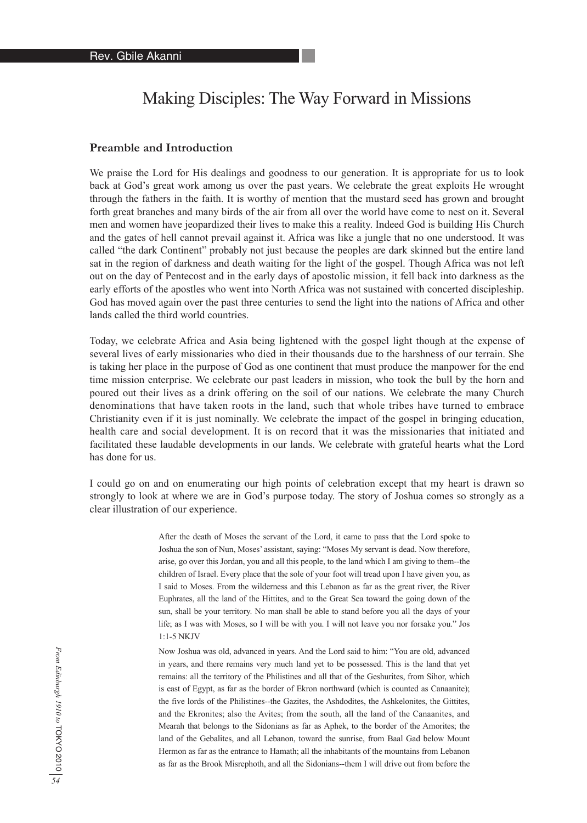# Making Disciples: The Way Forward in Missions

### **Preamble and Introduction**

We praise the Lord for His dealings and goodness to our generation. It is appropriate for us to look back at God's great work among us over the past years. We celebrate the great exploits He wrought through the fathers in the faith. It is worthy of mention that the mustard seed has grown and brought forth great branches and many birds of the air from all over the world have come to nest on it. Several men and women have jeopardized their lives to make this a reality. Indeed God is building His Church and the gates of hell cannot prevail against it. Africa was like a jungle that no one understood. It was called "the dark Continent" probably not just because the peoples are dark skinned but the entire land sat in the region of darkness and death waiting for the light of the gospel. Though Africa was not left out on the day of Pentecost and in the early days of apostolic mission, it fell back into darkness as the early efforts of the apostles who went into North Africa was not sustained with concerted discipleship. God has moved again over the past three centuries to send the light into the nations of Africa and other lands called the third world countries.

Today, we celebrate Africa and Asia being lightened with the gospel light though at the expense of several lives of early missionaries who died in their thousands due to the harshness of our terrain. She is taking her place in the purpose of God as one continent that must produce the manpower for the end time mission enterprise. We celebrate our past leaders in mission, who took the bull by the horn and poured out their lives as a drink offering on the soil of our nations. We celebrate the many Church denominations that have taken roots in the land, such that whole tribes have turned to embrace Christianity even if it is just nominally. We celebrate the impact of the gospel in bringing education, health care and social development. It is on record that it was the missionaries that initiated and facilitated these laudable developments in our lands. We celebrate with grateful hearts what the Lord has done for us.

I could go on and on enumerating our high points of celebration except that my heart is drawn so strongly to look at where we are in God's purpose today. The story of Joshua comes so strongly as a clear illustration of our experience.

> After the death of Moses the servant of the Lord, it came to pass that the Lord spoke to Joshua the son of Nun, Moses' assistant, saying: "Moses My servant is dead. Now therefore, arise, go over this Jordan, you and all this people, to the land which I am giving to them--the children of Israel. Every place that the sole of your foot will tread upon I have given you, as I said to Moses. From the wilderness and this Lebanon as far as the great river, the River Euphrates, all the land of the Hittites, and to the Great Sea toward the going down of the sun, shall be your territory. No man shall be able to stand before you all the days of your life; as I was with Moses, so I will be with you. I will not leave you nor forsake you." Jos 1:1-5 NKJV

> Now Joshua was old, advanced in years. And the Lord said to him: "You are old, advanced in years, and there remains very much land yet to be possessed. This is the land that yet remains: all the territory of the Philistines and all that of the Geshurites, from Sihor, which is east of Egypt, as far as the border of Ekron northward (which is counted as Canaanite); the five lords of the Philistines--the Gazites, the Ashdodites, the Ashkelonites, the Gittites, and the Ekronites; also the Avites; from the south, all the land of the Canaanites, and Mearah that belongs to the Sidonians as far as Aphek, to the border of the Amorites; the land of the Gebalites, and all Lebanon, toward the sunrise, from Baal Gad below Mount Hermon as far as the entrance to Hamath; all the inhabitants of the mountains from Lebanon as far as the Brook Misrephoth, and all the Sidonians--them I will drive out from before the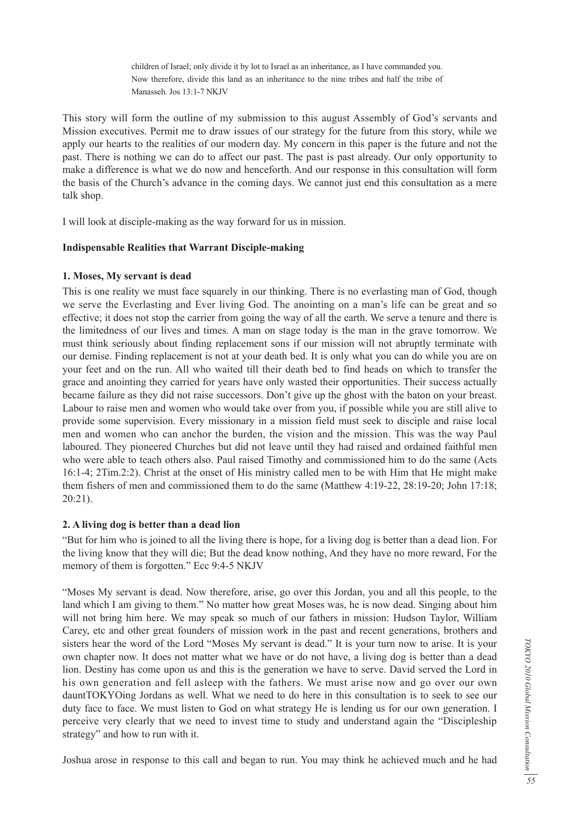children of Israel; only divide it by lot to Israel as an inheritance, as I have commanded you. Now therefore, divide this land as an inheritance to the nine tribes and half the tribe of Manasseh. Jos 13:1-7 NKJV

This story will form the outline of my submission to this august Assembly of God's servants and Mission executives. Permit me to draw issues of our strategy for the future from this story, while we apply our hearts to the realities of our modern day. My concern in this paper is the future and not the past. There is nothing we can do to affect our past. The past is past already. Our only opportunity to make a difference is what we do now and henceforth. And our response in this consultation will form the basis of the Church's advance in the coming days. We cannot just end this consultation as a mere talk shop.

I will look at disciple-making as the way forward for us in mission.

### **Indispensable Realities that Warrant Disciple-making**

#### **1. Moses, My servant is dead**

This is one reality we must face squarely in our thinking. There is no everlasting man of God, though we serve the Everlasting and Ever living God. The anointing on a man's life can be great and so effective; it does not stop the carrier from going the way of all the earth. We serve a tenure and there is the limitedness of our lives and times. A man on stage today is the man in the grave tomorrow. We must think seriously about finding replacement sons if our mission will not abruptly terminate with our demise. Finding replacement is not at your death bed. It is only what you can do while you are on your feet and on the run. All who waited till their death bed to find heads on which to transfer the grace and anointing they carried for years have only wasted their opportunities. Their success actually became failure as they did not raise successors. Don't give up the ghost with the baton on your breast. Labour to raise men and women who would take over from you, if possible while you are still alive to provide some supervision. Every missionary in a mission field must seek to disciple and raise local men and women who can anchor the burden, the vision and the mission. This was the way Paul laboured. They pioneered Churches but did not leave until they had raised and ordained faithful men who were able to teach others also. Paul raised Timothy and commissioned him to do the same (Acts 16:1-4; 2Tim.2:2). Christ at the onset of His ministry called men to be with Him that He might make them fishers of men and commissioned them to do the same (Matthew 4:19-22, 28:19-20; John 17:18; 20:21).

## **2. A living dog is better than a dead lion**

"But for him who is joined to all the living there is hope, for a living dog is better than a dead lion. For the living know that they will die; But the dead know nothing, And they have no more reward, For the memory of them is forgotten." Ecc 9:4-5 NKJV

"Moses My servant is dead. Now therefore, arise, go over this Jordan, you and all this people, to the land which I am giving to them." No matter how great Moses was, he is now dead. Singing about him will not bring him here. We may speak so much of our fathers in mission: Hudson Taylor, William Carey, etc and other great founders of mission work in the past and recent generations, brothers and sisters hear the word of the Lord "Moses My servant is dead." It is your turn now to arise. It is your own chapter now. It does not matter what we have or do not have, a living dog is better than a dead lion. Destiny has come upon us and this is the generation we have to serve. David served the Lord in his own generation and fell asleep with the fathers. We must arise now and go over our own dauntTOKYOing Jordans as well. What we need to do here in this consultation is to seek to see our duty face to face. We must listen to God on what strategy He is lending us for our own generation. I perceive very clearly that we need to invest time to study and understand again the "Discipleship strategy" and how to run with it.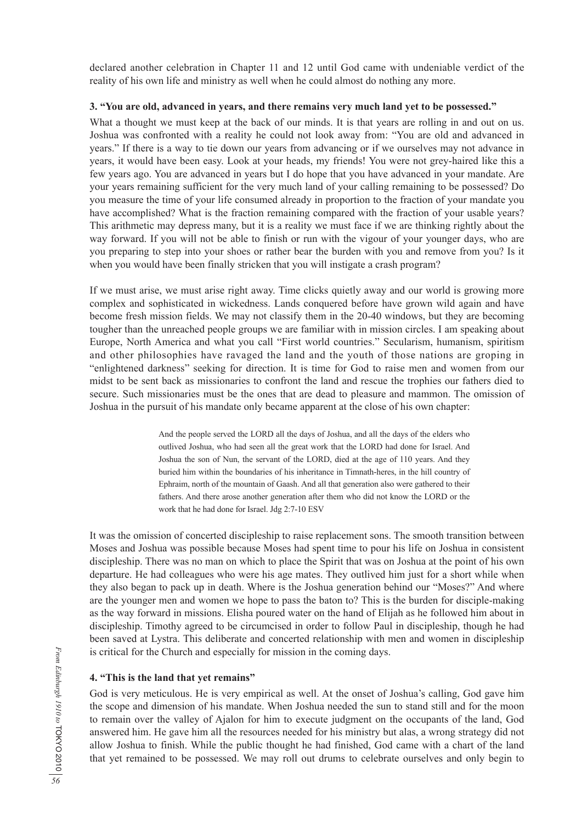declared another celebration in Chapter 11 and 12 until God came with undeniable verdict of the reality of his own life and ministry as well when he could almost do nothing any more.

### **3. "You are old, advanced in years, and there remains very much land yet to be possessed."**

What a thought we must keep at the back of our minds. It is that years are rolling in and out on us. Joshua was confronted with a reality he could not look away from: "You are old and advanced in years." If there is a way to tie down our years from advancing or if we ourselves may not advance in years, it would have been easy. Look at your heads, my friends! You were not grey-haired like this a few years ago. You are advanced in years but I do hope that you have advanced in your mandate. Are your years remaining sufficient for the very much land of your calling remaining to be possessed? Do you measure the time of your life consumed already in proportion to the fraction of your mandate you have accomplished? What is the fraction remaining compared with the fraction of your usable years? This arithmetic may depress many, but it is a reality we must face if we are thinking rightly about the way forward. If you will not be able to finish or run with the vigour of your younger days, who are you preparing to step into your shoes or rather bear the burden with you and remove from you? Is it when you would have been finally stricken that you will instigate a crash program?

If we must arise, we must arise right away. Time clicks quietly away and our world is growing more complex and sophisticated in wickedness. Lands conquered before have grown wild again and have become fresh mission fields. We may not classify them in the 20-40 windows, but they are becoming tougher than the unreached people groups we are familiar with in mission circles. I am speaking about Europe, North America and what you call "First world countries." Secularism, humanism, spiritism and other philosophies have ravaged the land and the youth of those nations are groping in "enlightened darkness" seeking for direction. It is time for God to raise men and women from our midst to be sent back as missionaries to confront the land and rescue the trophies our fathers died to secure. Such missionaries must be the ones that are dead to pleasure and mammon. The omission of Joshua in the pursuit of his mandate only became apparent at the close of his own chapter:

> And the people served the LORD all the days of Joshua, and all the days of the elders who outlived Joshua, who had seen all the great work that the LORD had done for Israel. And Joshua the son of Nun, the servant of the LORD, died at the age of 110 years. And they buried him within the boundaries of his inheritance in Timnath-heres, in the hill country of Ephraim, north of the mountain of Gaash. And all that generation also were gathered to their fathers. And there arose another generation after them who did not know the LORD or the work that he had done for Israel. Jdg 2:7-10 ESV

It was the omission of concerted discipleship to raise replacement sons. The smooth transition between Moses and Joshua was possible because Moses had spent time to pour his life on Joshua in consistent discipleship. There was no man on which to place the Spirit that was on Joshua at the point of his own departure. He had colleagues who were his age mates. They outlived him just for a short while when they also began to pack up in death. Where is the Joshua generation behind our "Moses?" And where are the younger men and women we hope to pass the baton to? This is the burden for disciple-making as the way forward in missions. Elisha poured water on the hand of Elijah as he followed him about in discipleship. Timothy agreed to be circumcised in order to follow Paul in discipleship, though he had been saved at Lystra. This deliberate and concerted relationship with men and women in discipleship is critical for the Church and especially for mission in the coming days.

## **4. "This is the land that yet remains"**

God is very meticulous. He is very empirical as well. At the onset of Joshua's calling, God gave him the scope and dimension of his mandate. When Joshua needed the sun to stand still and for the moon to remain over the valley of Ajalon for him to execute judgment on the occupants of the land, God answered him. He gave him all the resources needed for his ministry but alas, a wrong strategy did not allow Joshua to finish. While the public thought he had finished, God came with a chart of the land that yet remained to be possessed. We may roll out drums to celebrate ourselves and only begin to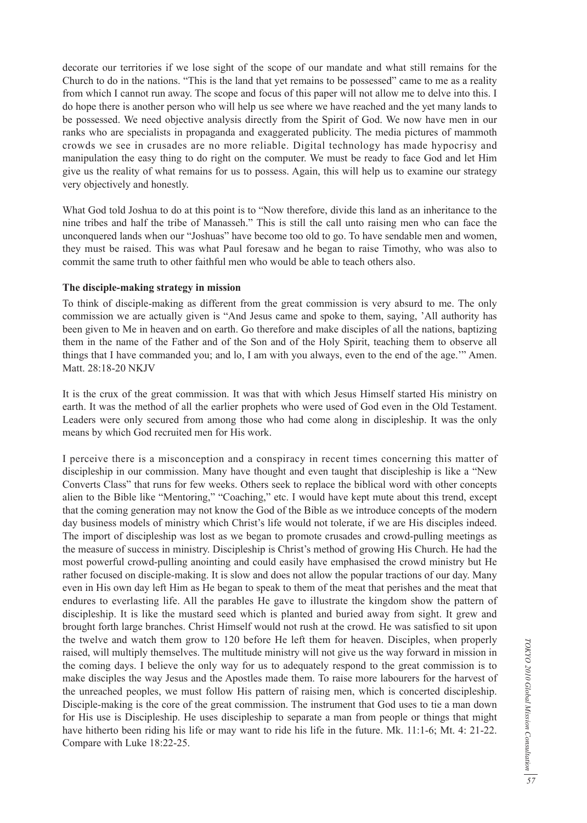decorate our territories if we lose sight of the scope of our mandate and what still remains for the Church to do in the nations. "This is the land that yet remains to be possessed" came to me as a reality from which I cannot run away. The scope and focus of this paper will not allow me to delve into this. I do hope there is another person who will help us see where we have reached and the yet many lands to be possessed. We need objective analysis directly from the Spirit of God. We now have men in our ranks who are specialists in propaganda and exaggerated publicity. The media pictures of mammoth crowds we see in crusades are no more reliable. Digital technology has made hypocrisy and manipulation the easy thing to do right on the computer. We must be ready to face God and let Him give us the reality of what remains for us to possess. Again, this will help us to examine our strategy very objectively and honestly.

What God told Joshua to do at this point is to "Now therefore, divide this land as an inheritance to the nine tribes and half the tribe of Manasseh." This is still the call unto raising men who can face the unconquered lands when our "Joshuas" have become too old to go. To have sendable men and women, they must be raised. This was what Paul foresaw and he began to raise Timothy, who was also to commit the same truth to other faithful men who would be able to teach others also.

#### **The disciple-making strategy in mission**

To think of disciple-making as different from the great commission is very absurd to me. The only commission we are actually given is "And Jesus came and spoke to them, saying, 'All authority has been given to Me in heaven and on earth. Go therefore and make disciples of all the nations, baptizing them in the name of the Father and of the Son and of the Holy Spirit, teaching them to observe all things that I have commanded you; and lo, I am with you always, even to the end of the age.'" Amen. Matt. 28:18-20 NKJV

It is the crux of the great commission. It was that with which Jesus Himself started His ministry on earth. It was the method of all the earlier prophets who were used of God even in the Old Testament. Leaders were only secured from among those who had come along in discipleship. It was the only means by which God recruited men for His work.

I perceive there is a misconception and a conspiracy in recent times concerning this matter of discipleship in our commission. Many have thought and even taught that discipleship is like a "New Converts Class" that runs for few weeks. Others seek to replace the biblical word with other concepts alien to the Bible like "Mentoring," "Coaching," etc. I would have kept mute about this trend, except that the coming generation may not know the God of the Bible as we introduce concepts of the modern day business models of ministry which Christ's life would not tolerate, if we are His disciples indeed. The import of discipleship was lost as we began to promote crusades and crowd-pulling meetings as the measure of success in ministry. Discipleship is Christ's method of growing His Church. He had the most powerful crowd-pulling anointing and could easily have emphasised the crowd ministry but He rather focused on disciple-making. It is slow and does not allow the popular tractions of our day. Many even in His own day left Him as He began to speak to them of the meat that perishes and the meat that endures to everlasting life. All the parables He gave to illustrate the kingdom show the pattern of discipleship. It is like the mustard seed which is planted and buried away from sight. It grew and brought forth large branches. Christ Himself would not rush at the crowd. He was satisfied to sit upon the twelve and watch them grow to 120 before He left them for heaven. Disciples, when properly raised, will multiply themselves. The multitude ministry will not give us the way forward in mission in the coming days. I believe the only way for us to adequately respond to the great commission is to make disciples the way Jesus and the Apostles made them. To raise more labourers for the harvest of the unreached peoples, we must follow His pattern of raising men, which is concerted discipleship. Disciple-making is the core of the great commission. The instrument that God uses to tie a man down for His use is Discipleship. He uses discipleship to separate a man from people or things that might have hitherto been riding his life or may want to ride his life in the future. Mk. 11:1-6; Mt. 4: 21-22. Compare with Luke 18:22-25.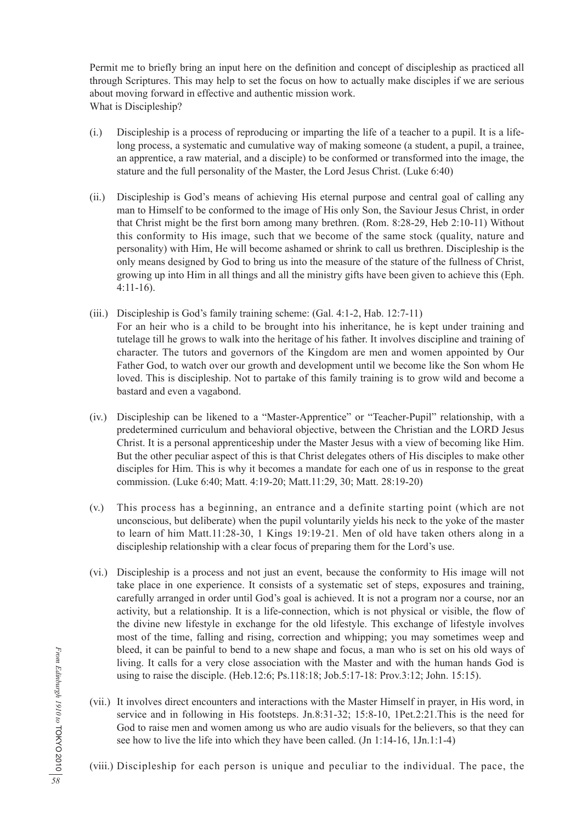Permit me to briefly bring an input here on the definition and concept of discipleship as practiced all through Scriptures. This may help to set the focus on how to actually make disciples if we are serious about moving forward in effective and authentic mission work. What is Discipleship?

- (i.) Discipleship is a process of reproducing or imparting the life of a teacher to a pupil. It is a lifelong process, a systematic and cumulative way of making someone (a student, a pupil, a trainee, an apprentice, a raw material, and a disciple) to be conformed or transformed into the image, the stature and the full personality of the Master, the Lord Jesus Christ. (Luke 6:40)
- (ii.) Discipleship is God's means of achieving His eternal purpose and central goal of calling any man to Himself to be conformed to the image of His only Son, the Saviour Jesus Christ, in order that Christ might be the first born among many brethren. (Rom. 8:28-29, Heb 2:10-11) Without this conformity to His image, such that we become of the same stock (quality, nature and personality) with Him, He will become ashamed or shrink to call us brethren. Discipleship is the only means designed by God to bring us into the measure of the stature of the fullness of Christ, growing up into Him in all things and all the ministry gifts have been given to achieve this (Eph. 4:11-16).
- (iii.) Discipleship is God's family training scheme: (Gal. 4:1-2, Hab. 12:7-11) For an heir who is a child to be brought into his inheritance, he is kept under training and tutelage till he grows to walk into the heritage of his father. It involves discipline and training of character. The tutors and governors of the Kingdom are men and women appointed by Our Father God, to watch over our growth and development until we become like the Son whom He loved. This is discipleship. Not to partake of this family training is to grow wild and become a bastard and even a vagabond.
- (iv.) Discipleship can be likened to a "Master-Apprentice" or "Teacher-Pupil" relationship, with a predetermined curriculum and behavioral objective, between the Christian and the LORD Jesus Christ. It is a personal apprenticeship under the Master Jesus with a view of becoming like Him. But the other peculiar aspect of this is that Christ delegates others of His disciples to make other disciples for Him. This is why it becomes a mandate for each one of us in response to the great commission. (Luke 6:40; Matt. 4:19-20; Matt.11:29, 30; Matt. 28:19-20)
- (v.) This process has a beginning, an entrance and a definite starting point (which are not unconscious, but deliberate) when the pupil voluntarily yields his neck to the yoke of the master to learn of him Matt.11:28-30, 1 Kings 19:19-21. Men of old have taken others along in a discipleship relationship with a clear focus of preparing them for the Lord's use.
- (vi.) Discipleship is a process and not just an event, because the conformity to His image will not take place in one experience. It consists of a systematic set of steps, exposures and training, carefully arranged in order until God's goal is achieved. It is not a program nor a course, nor an activity, but a relationship. It is a life-connection, which is not physical or visible, the flow of the divine new lifestyle in exchange for the old lifestyle. This exchange of lifestyle involves most of the time, falling and rising, correction and whipping; you may sometimes weep and bleed, it can be painful to bend to a new shape and focus, a man who is set on his old ways of living. It calls for a very close association with the Master and with the human hands God is using to raise the disciple. (Heb.12:6; Ps.118:18; Job.5:17-18: Prov.3:12; John. 15:15).
- (vii.) It involves direct encounters and interactions with the Master Himself in prayer, in His word, in service and in following in His footsteps. Jn.8:31-32; 15:8-10, 1Pet.2:21.This is the need for God to raise men and women among us who are audio visuals for the believers, so that they can see how to live the life into which they have been called. (Jn 1:14-16, 1Jn.1:1-4)
- (viii.) Discipleship for each person is unique and peculiar to the individual. The pace, the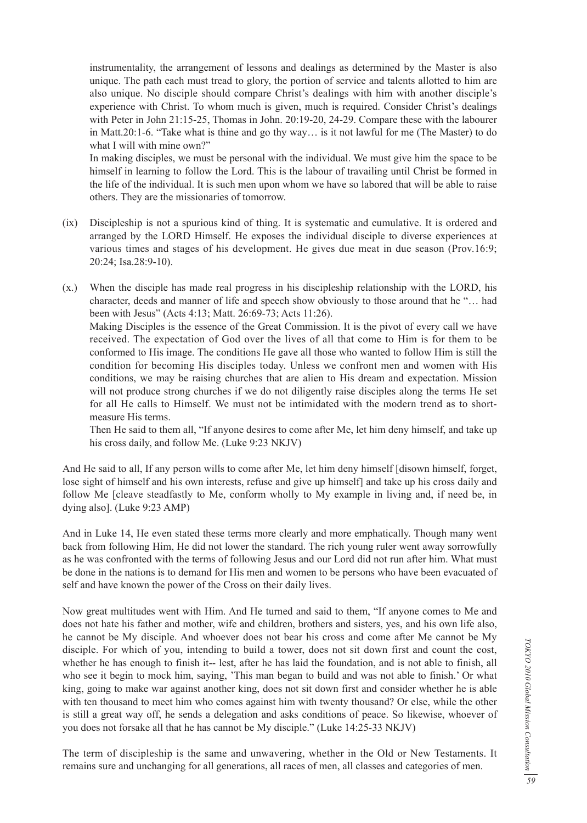instrumentality, the arrangement of lessons and dealings as determined by the Master is also unique. The path each must tread to glory, the portion of service and talents allotted to him are also unique. No disciple should compare Christ's dealings with him with another disciple's experience with Christ. To whom much is given, much is required. Consider Christ's dealings with Peter in John 21:15-25, Thomas in John. 20:19-20, 24-29. Compare these with the labourer in Matt.20:1-6. "Take what is thine and go thy way… is it not lawful for me (The Master) to do what I will with mine own?"

 In making disciples, we must be personal with the individual. We must give him the space to be himself in learning to follow the Lord. This is the labour of travailing until Christ be formed in the life of the individual. It is such men upon whom we have so labored that will be able to raise others. They are the missionaries of tomorrow.

- (ix) Discipleship is not a spurious kind of thing. It is systematic and cumulative. It is ordered and arranged by the LORD Himself. He exposes the individual disciple to diverse experiences at various times and stages of his development. He gives due meat in due season (Prov.16:9; 20:24; Isa.28:9-10).
- (x.) When the disciple has made real progress in his discipleship relationship with the LORD, his character, deeds and manner of life and speech show obviously to those around that he "… had been with Jesus" (Acts 4:13; Matt. 26:69-73; Acts 11:26). Making Disciples is the essence of the Great Commission. It is the pivot of every call we have received. The expectation of God over the lives of all that come to Him is for them to be

conformed to His image. The conditions He gave all those who wanted to follow Him is still the condition for becoming His disciples today. Unless we confront men and women with His conditions, we may be raising churches that are alien to His dream and expectation. Mission will not produce strong churches if we do not diligently raise disciples along the terms He set for all He calls to Himself. We must not be intimidated with the modern trend as to shortmeasure His terms.

 Then He said to them all, "If anyone desires to come after Me, let him deny himself, and take up his cross daily, and follow Me. (Luke 9:23 NKJV)

And He said to all, If any person wills to come after Me, let him deny himself [disown himself, forget, lose sight of himself and his own interests, refuse and give up himself] and take up his cross daily and follow Me [cleave steadfastly to Me, conform wholly to My example in living and, if need be, in dying also]. (Luke 9:23 AMP)

And in Luke 14, He even stated these terms more clearly and more emphatically. Though many went back from following Him, He did not lower the standard. The rich young ruler went away sorrowfully as he was confronted with the terms of following Jesus and our Lord did not run after him. What must be done in the nations is to demand for His men and women to be persons who have been evacuated of self and have known the power of the Cross on their daily lives.

Now great multitudes went with Him. And He turned and said to them, "If anyone comes to Me and does not hate his father and mother, wife and children, brothers and sisters, yes, and his own life also, he cannot be My disciple. And whoever does not bear his cross and come after Me cannot be My disciple. For which of you, intending to build a tower, does not sit down first and count the cost, whether he has enough to finish it-- lest, after he has laid the foundation, and is not able to finish, all who see it begin to mock him, saying, 'This man began to build and was not able to finish.' Or what king, going to make war against another king, does not sit down first and consider whether he is able with ten thousand to meet him who comes against him with twenty thousand? Or else, while the other is still a great way off, he sends a delegation and asks conditions of peace. So likewise, whoever of you does not forsake all that he has cannot be My disciple." (Luke 14:25-33 NKJV)

The term of discipleship is the same and unwavering, whether in the Old or New Testaments. It remains sure and unchanging for all generations, all races of men, all classes and categories of men.